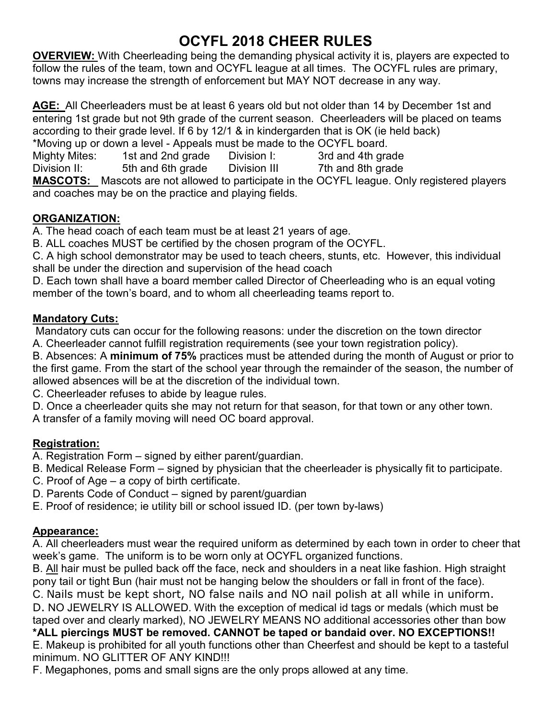# OCYFL 2018 CHEER RULES

OVERVIEW: With Cheerleading being the demanding physical activity it is, players are expected to follow the rules of the team, town and OCYFL league at all times. The OCYFL rules are primary, towns may increase the strength of enforcement but MAY NOT decrease in any way.

AGE: All Cheerleaders must be at least 6 years old but not older than 14 by December 1st and entering 1st grade but not 9th grade of the current season. Cheerleaders will be placed on teams according to their grade level. If 6 by 12/1 & in kindergarden that is OK (ie held back) \*Moving up or down a level - Appeals must be made to the OCYFL board.

Mighty Mites: 1st and 2nd grade Division I: 3rd and 4th grade Division II: 5th and 6th grade Division III 7th and 8th grade MASCOTS: Mascots are not allowed to participate in the OCYFL league. Only registered players and coaches may be on the practice and playing fields.

### ORGANIZATION:

A. The head coach of each team must be at least 21 years of age.

B. ALL coaches MUST be certified by the chosen program of the OCYFL.

C. A high school demonstrator may be used to teach cheers, stunts, etc. However, this individual shall be under the direction and supervision of the head coach

D. Each town shall have a board member called Director of Cheerleading who is an equal voting member of the town's board, and to whom all cheerleading teams report to.

#### Mandatory Cuts:

 Mandatory cuts can occur for the following reasons: under the discretion on the town director A. Cheerleader cannot fulfill registration requirements (see your town registration policy).

B. Absences: A minimum of 75% practices must be attended during the month of August or prior to the first game. From the start of the school year through the remainder of the season, the number of allowed absences will be at the discretion of the individual town.

C. Cheerleader refuses to abide by league rules.

D. Once a cheerleader quits she may not return for that season, for that town or any other town. A transfer of a family moving will need OC board approval.

# Registration:

A. Registration Form – signed by either parent/guardian.

B. Medical Release Form – signed by physician that the cheerleader is physically fit to participate.

- C. Proof of Age a copy of birth certificate.
- D. Parents Code of Conduct signed by parent/guardian
- E. Proof of residence; ie utility bill or school issued ID. (per town by-laws)

# Appearance:

A. All cheerleaders must wear the required uniform as determined by each town in order to cheer that week's game. The uniform is to be worn only at OCYFL organized functions.

B. All hair must be pulled back off the face, neck and shoulders in a neat like fashion. High straight pony tail or tight Bun (hair must not be hanging below the shoulders or fall in front of the face).

C. Nails must be kept short, NO false nails and NO nail polish at all while in uniform.

D. NO JEWELRY IS ALLOWED. With the exception of medical id tags or medals (which must be taped over and clearly marked), NO JEWELRY MEANS NO additional accessories other than bow \*ALL piercings MUST be removed. CANNOT be taped or bandaid over. NO EXCEPTIONS!! E. Makeup is prohibited for all youth functions other than Cheerfest and should be kept to a tasteful

minimum. NO GLITTER OF ANY KIND!!!

F. Megaphones, poms and small signs are the only props allowed at any time.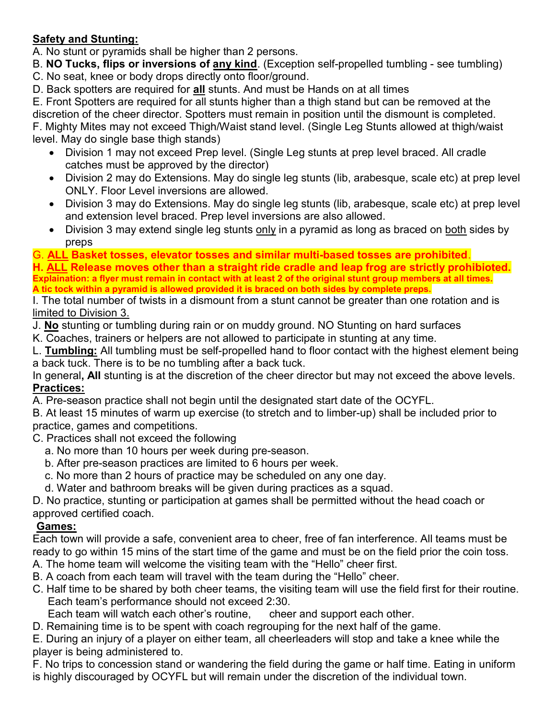# Safety and Stunting:

A. No stunt or pyramids shall be higher than 2 persons.

B. NO Tucks, flips or inversions of any kind. (Exception self-propelled tumbling - see tumbling)

- C. No seat, knee or body drops directly onto floor/ground.
- D. Back spotters are required for all stunts. And must be Hands on at all times

E. Front Spotters are required for all stunts higher than a thigh stand but can be removed at the discretion of the cheer director. Spotters must remain in position until the dismount is completed.

F. Mighty Mites may not exceed Thigh/Waist stand level. (Single Leg Stunts allowed at thigh/waist level. May do single base thigh stands)

- Division 1 may not exceed Prep level. (Single Leg stunts at prep level braced. All cradle catches must be approved by the director)
- Division 2 may do Extensions. May do single leg stunts (lib, arabesque, scale etc) at prep level ONLY. Floor Level inversions are allowed.
- Division 3 may do Extensions. May do single leg stunts (lib, arabesque, scale etc) at prep level and extension level braced. Prep level inversions are also allowed.
- Division 3 may extend single leg stunts only in a pyramid as long as braced on both sides by preps

G. ALL Basket tosses, elevator tosses and similar multi-based tosses are prohibited.

H. ALL Release moves other than a straight ride cradle and leap frog are strictly prohibioted. Explaination: a flyer must remain in contact with at least 2 of the original stunt group members at all times. A tic tock within a pyramid is allowed provided it is braced on both sides by complete preps.

I. The total number of twists in a dismount from a stunt cannot be greater than one rotation and is limited to Division 3.

J. No stunting or tumbling during rain or on muddy ground. NO Stunting on hard surfaces

K. Coaches, trainers or helpers are not allowed to participate in stunting at any time.

L. Tumbling: All tumbling must be self-propelled hand to floor contact with the highest element being a back tuck. There is to be no tumbling after a back tuck.

In general, All stunting is at the discretion of the cheer director but may not exceed the above levels. Practices:

A. Pre-season practice shall not begin until the designated start date of the OCYFL.

B. At least 15 minutes of warm up exercise (to stretch and to limber-up) shall be included prior to practice, games and competitions.

C. Practices shall not exceed the following

- a. No more than 10 hours per week during pre-season.
- b. After pre-season practices are limited to 6 hours per week.
- c. No more than 2 hours of practice may be scheduled on any one day.
- d. Water and bathroom breaks will be given during practices as a squad.

D. No practice, stunting or participation at games shall be permitted without the head coach or approved certified coach.

# Games:

Each town will provide a safe, convenient area to cheer, free of fan interference. All teams must be ready to go within 15 mins of the start time of the game and must be on the field prior the coin toss. A. The home team will welcome the visiting team with the "Hello" cheer first.

- B. A coach from each team will travel with the team during the "Hello" cheer.
- C. Half time to be shared by both cheer teams, the visiting team will use the field first for their routine. Each team's performance should not exceed 2:30.

Each team will watch each other's routine, cheer and support each other.

D. Remaining time is to be spent with coach regrouping for the next half of the game.

E. During an injury of a player on either team, all cheerleaders will stop and take a knee while the player is being administered to.

F. No trips to concession stand or wandering the field during the game or half time. Eating in uniform is highly discouraged by OCYFL but will remain under the discretion of the individual town.